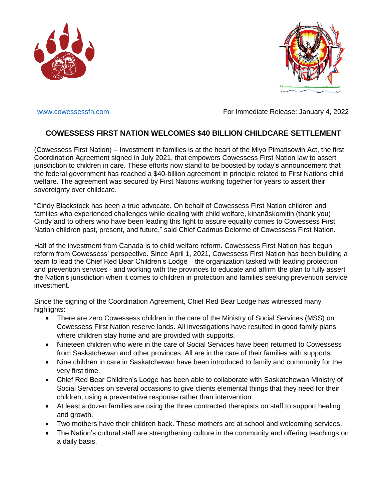



[www.cowessessfn.com](http://www.cowessessfn.com/) example and the Forl Immediate Release: January 4, 2022

## **COWESSESS FIRST NATION WELCOMES \$40 BILLION CHILDCARE SETTLEMENT**

(Cowessess First Nation) – Investment in families is at the heart of the Miyo Pimatisowin Act, the first Coordination Agreement signed in July 2021, that empowers Cowessess First Nation law to assert jurisdiction to children in care. These efforts now stand to be boosted by today's announcement that the federal government has reached a \$40-billion agreement in principle related to First Nations child welfare. The agreement was secured by First Nations working together for years to assert their sovereignty over childcare.

"Cindy Blackstock has been a true advocate. On behalf of Cowessess First Nation children and families who experienced challenges while dealing with child welfare, kinanãskomitin (thank you) Cindy and to others who have been leading this fight to assure equality comes to Cowessess First Nation children past, present, and future," said Chief Cadmus Delorme of Cowessess First Nation.

Half of the investment from Canada is to child welfare reform. Cowessess First Nation has begun reform from Cowessess' perspective. Since April 1, 2021, Cowessess First Nation has been building a team to lead the Chief Red Bear Children's Lodge – the organization tasked with leading protection and prevention services - and working with the provinces to educate and affirm the plan to fully assert the Nation's jurisdiction when it comes to children in protection and families seeking prevention service investment.

Since the signing of the Coordination Agreement, Chief Red Bear Lodge has witnessed many highlights:

- There are zero Cowessess children in the care of the Ministry of Social Services (MSS) on Cowessess First Nation reserve lands. All investigations have resulted in good family plans where children stay home and are provided with supports.
- Nineteen children who were in the care of Social Services have been returned to Cowessess from Saskatchewan and other provinces. All are in the care of their families with supports.
- Nine children in care in Saskatchewan have been introduced to family and community for the very first time.
- Chief Red Bear Children's Lodge has been able to collaborate with Saskatchewan Ministry of Social Services on several occasions to give clients elemental things that they need for their children, using a preventative response rather than intervention.
- At least a dozen families are using the three contracted therapists on staff to support healing and growth.
- Two mothers have their children back. These mothers are at school and welcoming services.
- The Nation's cultural staff are strengthening culture in the community and offering teachings on a daily basis.